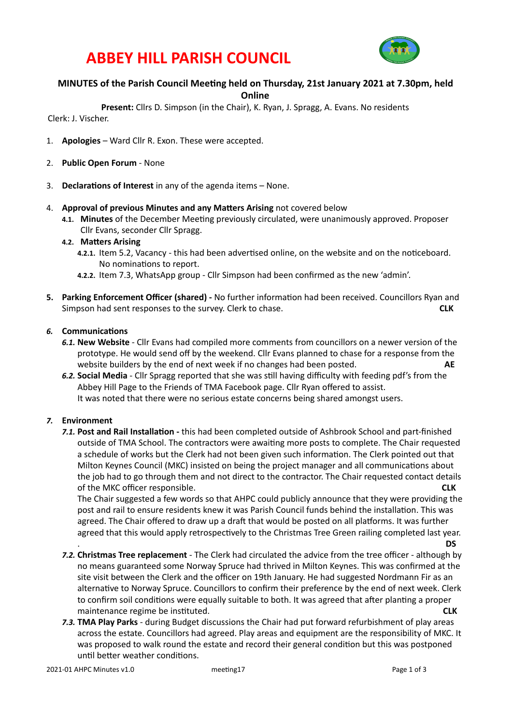

### **ABBEY HILL PARISH COUNCIL**

#### **MINUTES of the Parish Council Meeting held on Thursday, 21st January 2021 at 7.30pm, held Online**

**Present:** Cllrs D. Simpson (in the Chair), K. Ryan, J. Spragg, A. Evans. No residents

Clerk: J. Vischer.

- 1. **Apologies** Ward Cllr R. Exon. These were accepted.
- 2. **Public Open Forum** None
- 3. **Declarations of Interest** in any of the agenda items None.
- 4. **Approval of previous Minutes and any Matters Arising** not covered below
	- 4.1. Minutes of the December Meeting previously circulated, were unanimously approved. Proposer Cllr Evans, seconder Cllr Spragg.
	- **4.2. Matters Arising** 
		- 4.2.1. Item 5.2, Vacancy this had been advertised online, on the website and on the noticeboard. No nominations to report.
		- **4.2.2.** Item 7.3, WhatsApp group Cllr Simpson had been confirmed as the new 'admin'.
- **5.** Parking Enforcement Officer (shared) No further information had been received. Councillors Ryan and Simpson had sent responses to the survey. Clerk to chase.  $\blacksquare$  and the survey of the survey. Clerk to chase.

#### **6.** Communications

- **6.1. New Website** Cllr Evans had compiled more comments from councillors on a newer version of the prototype. He would send off by the weekend. Cllr Evans planned to chase for a response from the website builders by the end of next week if no changes had been posted. **AE**
- 6.2. Social Media Cllr Spragg reported that she was still having difficulty with feeding pdf's from the Abbey Hill Page to the Friends of TMA Facebook page. Cllr Ryan offered to assist. It was noted that there were no serious estate concerns being shared amongst users.

#### 7. **Environment**

**7.1. Post and Rail Installation** - this had been completed outside of Ashbrook School and part-finished outside of TMA School. The contractors were awaiting more posts to complete. The Chair requested a schedule of works but the Clerk had not been given such information. The Clerk pointed out that Milton Keynes Council (MKC) insisted on being the project manager and all communications about the job had to go through them and not direct to the contractor. The Chair requested contact details of the MKC officer responsible. **CLK**

The Chair suggested a few words so that AHPC could publicly announce that they were providing the post and rail to ensure residents knew it was Parish Council funds behind the installation. This was agreed. The Chair offered to draw up a draft that would be posted on all platforms. It was further agreed that this would apply retrospectively to the Christmas Tree Green railing completed last year.

- <u>a</u> a society of the society of the society of the society of the society of the society of the society of the society of the society of the society of the society of the society of the society of the society of the societ **7.2. Christmas Tree replacement** - The Clerk had circulated the advice from the tree officer - although by no means guaranteed some Norway Spruce had thrived in Milton Keynes. This was confirmed at the site visit between the Clerk and the officer on 19th January. He had suggested Nordmann Fir as an alternative to Norway Spruce. Councillors to confirm their preference by the end of next week. Clerk to confirm soil conditions were equally suitable to both. It was agreed that after planting a proper maintenance regime be instituted. **And increase the example of the example of the example of the example of the example of the example of the example of the example of the example of the example of the example of the examp**
- 7.3. **TMA Play Parks** during Budget discussions the Chair had put forward refurbishment of play areas across the estate. Councillors had agreed. Play areas and equipment are the responsibility of MKC. It was proposed to walk round the estate and record their general condition but this was postponed until better weather conditions.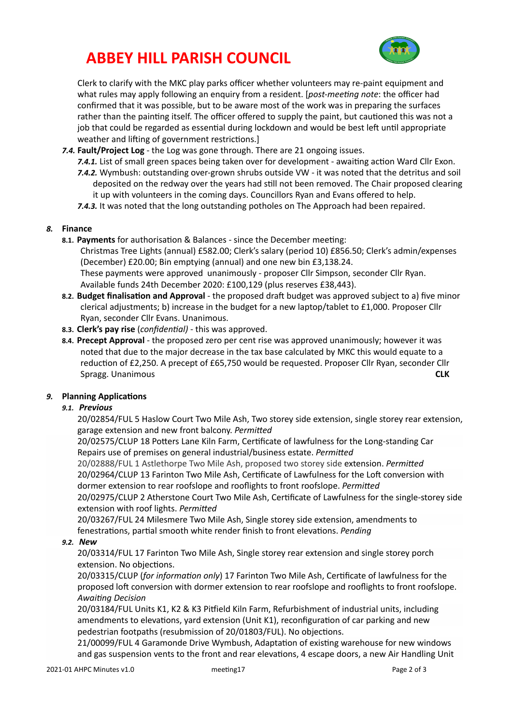# **ABBEY HILL PARISH COUNCIL**



Clerk to clarify with the MKC play parks officer whether volunteers may re-paint equipment and what rules may apply following an enquiry from a resident. [*post-meeting note*: the officer had confirmed that it was possible, but to be aware most of the work was in preparing the surfaces rather than the painting itself. The officer offered to supply the paint, but cautioned this was not a job that could be regarded as essential during lockdown and would be best left until appropriate weather and lifting of government restrictions.]

- 7.4. **Fault/Project Log** the Log was gone through. There are 21 ongoing issues.
	- **7.4.1.** List of small green spaces being taken over for development awaiting action Ward Cllr Exon. 7.4.2. Wymbush: outstanding over-grown shrubs outside VW - it was noted that the detritus and soil deposited on the redway over the years had still not been removed. The Chair proposed clearing it up with volunteers in the coming days. Councillors Ryan and Evans offered to help. 7.4.3. It was noted that the long outstanding potholes on The Approach had been repaired.

#### 8. **Finance**

**8.1. Payments** for authorisation & Balances - since the December meeting:

Christmas Tree Lights (annual) £582.00; Clerk's salary (period 10) £856.50; Clerk's admin/expenses (December) £20.00; Bin emptying (annual) and one new bin £3,138.24.

These payments were approved unanimously - proposer Cllr Simpson, seconder Cllr Ryan. Available funds 24th December 2020: £100,129 (plus reserves £38,443).

- 8.2. Budget finalisation and Approval the proposed draft budget was approved subject to a) five minor clerical adjustments; b) increase in the budget for a new laptop/tablet to £1,000. Proposer Cllr Ryan, seconder Cllr Evans. Unanimous.
- **8.3. Clerk's pay rise** (*confidential*) this was approved.
- **8.4. Precept Approval** the proposed zero per cent rise was approved unanimously; however it was noted that due to the major decrease in the tax base calculated by MKC this would equate to a reduction of £2,250. A precept of £65,750 would be requested. Proposer Cllr Ryan, seconder Cllr Spragg. Unanimous **CLK**

#### **9.** Planning Applications

#### *9.1. Previous*

20/02854/FUL 5 Haslow Court Two Mile Ash, Two storey side extension, single storey rear extension, garage extension and new front balcony. Permitted

20/02575/CLUP 18 Potters Lane Kiln Farm, Certificate of lawfulness for the Long-standing Car Repairs use of premises on general industrial/business estate. *Permitted* 

20/02888/FUL 1 Astlethorpe Two Mile Ash, proposed two storey side extension. *Permitted* 20/02964/CLUP 13 Farinton Two Mile Ash, Certificate of Lawfulness for the Loft conversion with dormer extension to rear roofslope and rooflights to front roofslope. Permitted

20/02975/CLUP 2 Atherstone Court Two Mile Ash, Certificate of Lawfulness for the single-storey side extension with roof lights. Permitted

20/03267/FUL 24 Milesmere Two Mile Ash, Single storey side extension, amendments to fenestrations, partial smooth white render finish to front elevations. *Pending* 

#### *9.2. New*

20/03314/FUL 17 Farinton Two Mile Ash, Single storey rear extension and single storey porch extension. No objections.

20/03315/CLUP (for information only) 17 Farinton Two Mile Ash, Certificate of lawfulness for the proposed loft conversion with dormer extension to rear roofslope and rooflights to front roofslope. **Awaiting Decision** 

20/03184/FUL Units K1, K2 & K3 Pitfield Kiln Farm, Refurbishment of industrial units, including amendments to elevations, yard extension (Unit K1), reconfiguration of car parking and new pedestrian footpaths (resubmission of 20/01803/FUL). No objections.

21/00099/FUL 4 Garamonde Drive Wymbush, Adaptation of existing warehouse for new windows and gas suspension vents to the front and rear elevations, 4 escape doors, a new Air Handling Unit